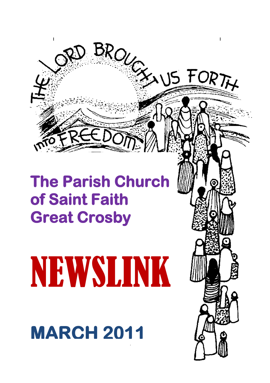

# **The Parish Church of Saint Faith Great Crosby**

# NEWSLINK

**MARCH 2011**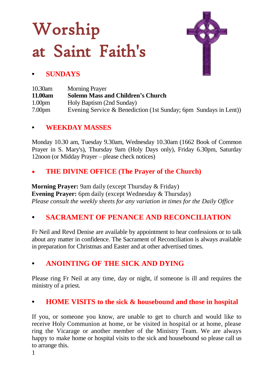# Worship at Saint Faith's



### **• SUNDAYS**

| 10.30am            | <b>Morning Prayer</b>                                            |
|--------------------|------------------------------------------------------------------|
| 11.00am            | <b>Solemn Mass and Children's Church</b>                         |
| 1.00 <sub>pm</sub> | Holy Baptism (2nd Sunday)                                        |
| 7.00 <sub>pm</sub> | Evening Service & Benediction (1st Sunday; 6pm Sundays in Lent)) |

#### **• WEEKDAY MASSES**

Monday 10.30 am, Tuesday 9.30am, Wednesday 10.30am (1662 Book of Common Prayer in S. Mary's), Thursday 9am (Holy Days only), Friday 6.30pm, Saturday 12noon (or Midday Prayer – please check notices)

### **THE DIVINE OFFICE (The Prayer of the Church)**

**Morning Prayer:** 9am daily (except Thursday & Friday) **Evening Prayer:** 6pm daily (except Wednesday & Thursday)  *Please consult the weekly sheets for any variation in times for the Daily Office*

### *•* **SACRAMENT OF PENANCE AND RECONCILIATION**

Fr Neil and Revd Denise are available by appointment to hear confessions or to talk about any matter in confidence. The Sacrament of Reconciliation is always available in preparation for Christmas and Easter and at other advertised times.

### **• ANOINTING OF THE SICK AND DYING**

Please ring Fr Neil at any time, day or night, if someone is ill and requires the ministry of a priest.

### **• HOME VISITS to the sick & housebound and those in hospital**

If you, or someone you know, are unable to get to church and would like to receive Holy Communion at home, or be visited in hospital or at home, please ring the Vicarage or another member of the Ministry Team. We are always happy to make home or hospital visits to the sick and housebound so please call us to arrange this.

1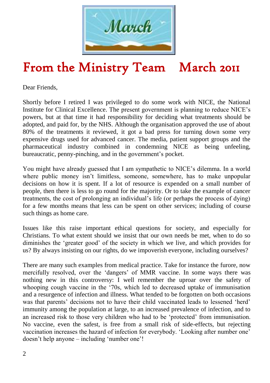

# From the Ministry Team March 2011

Dear Friends,

Shortly before I retired I was privileged to do some work with NICE, the National Institute for Clinical Excellence. The present government is planning to reduce NICE"s powers, but at that time it had responsibility for deciding what treatments should be adopted, and paid for, by the NHS. Although the organisation approved the use of about 80% of the treatments it reviewed, it got a bad press for turning down some very expensive drugs used for advanced cancer. The media, patient support groups and the pharmaceutical industry combined in condemning NICE as being unfeeling, bureaucratic, penny-pinching, and in the government's pocket.

You might have already guessed that I am sympathetic to NICE"s dilemma. In a world where public money isn't limitless, someone, somewhere, has to make unpopular decisions on how it is spent. If a lot of resource is expended on a small number of people, then there is less to go round for the majority. Or to take the example of cancer treatments, the cost of prolonging an individual"s life (or perhaps the process of dying) for a few months means that less can be spent on other services; including of course such things as home care.

Issues like this raise important ethical questions for society, and especially for Christians. To what extent should we insist that our own needs be met, when to do so diminishes the "greater good" of the society in which we live, and which provides for us? By always insisting on our rights, do we impoverish everyone, including ourselves?

There are many such examples from medical practice. Take for instance the furore, now mercifully resolved, over the "dangers" of MMR vaccine. In some ways there was nothing new in this controversy: I well remember the uproar over the safety of whooping cough vaccine in the "70s, which led to decreased uptake of immunisation and a resurgence of infection and illness. What tended to be forgotten on both occasions was that parents' decisions not to have their child vaccinated leads to lessened 'herd' immunity among the population at large, to an increased prevalence of infection, and to an increased risk to those very children who had to be "protected" from immunisation. No vaccine, even the safest, is free from a small risk of side-effects, but rejecting vaccination increases the hazard of infection for everybody. "Looking after number one" doesn"t help anyone – including "number one"!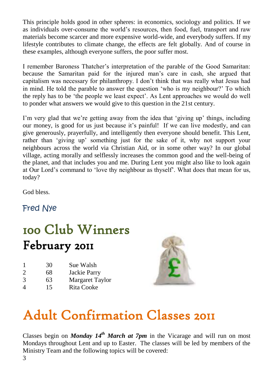This principle holds good in other spheres: in economics, sociology and politics. If we as individuals over-consume the world"s resources, then food, fuel, transport and raw materials become scarcer and more expensive world-wide, and everybody suffers. If my lifestyle contributes to climate change, the effects are felt globally. And of course in these examples, although everyone suffers, the poor suffer most.

I remember Baroness Thatcher"s interpretation of the parable of the Good Samaritan: because the Samaritan paid for the injured man"s care in cash, she argued that capitalism was necessary for philanthropy. I don"t think that was really what Jesus had in mind. He told the parable to answer the question "who is my neighbour?" To which the reply has to be "the people we least expect". As Lent approaches we would do well to ponder what answers we would give to this question in the 21st century.

I"m very glad that we"re getting away from the idea that "giving up" things, including our money, is good for us just because it"s painful! If we can live modestly, and can give generously, prayerfully, and intelligently then everyone should benefit. This Lent, rather than "giving up" something just for the sake of it, why not support your neighbours across the world via Christian Aid, or in some other way? In our global village, acting morally and selflessly increases the common good and the well-being of the planet, and that includes you and me. During Lent you might also like to look again at Our Lord"s command to "love thy neighbour as thyself". What does that mean for us, today?

God bless.

Fred Nye

# 100 Club Winners February 2011

| 30 | Sue Walsh |
|----|-----------|
|    |           |

- 2 68 Jackie Parry
- 3 63 Margaret Taylor
- 4 15 Rita Cooke



# Adult Confirmation Classes 2011

Classes begin on *Monday 14th March at 7pm* in the Vicarage and will run on most Mondays throughout Lent and up to Easter. The classes will be led by members of the Ministry Team and the following topics will be covered: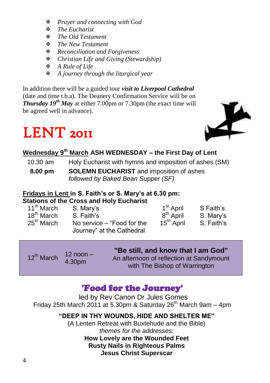- *Prayer and connecting with God*
- *The Eucharist*
- *The Old Testament*
- *The New Testament*
- *Reconciliation and Forgiveness*
- *Christian Life and Giving (Stewardship)*
- *A Rule of Life*
- *A journey through the liturgical year*

In addition there will be a guided tour *visit to Liverpool Cathedral* (date and time t.b.a). The Deanery Confirmation Service will be on *Thursday 19th May* at either 7.00pm or 7.30pm (the exact time will be agreed well in advance).

# LENT 2011



### **Wednesday 9th March ASH WEDNESDAY – the First Day of Lent**

| 10.30 am | Holy Eucharist with hymns and imposition of ashes (SM) |  |  |
|----------|--------------------------------------------------------|--|--|
|          |                                                        |  |  |

**8.00 pm SOLEMN EUCHARIST** and imposition of ashes *followed by Baked Bean Supper (SF)* 

#### **Fridays in Lent in S. Faith's or S. Mary's at 6.30 pm: Stations of the Cross and Holy Eucharist**

| 11 <sup>th</sup> March | S. Mary's                  | 1 <sup>st</sup> April  | S Faith's  |
|------------------------|----------------------------|------------------------|------------|
| 18 <sup>th</sup> March | S. Faith's                 | 8 <sup>th</sup> April  | S. Marv's  |
| 25 <sup>th</sup> March | No service – "Food for the | 15 <sup>th</sup> April | S. Faith's |
|                        | Journey" at the Cathedral  |                        |            |

| 12 <sup>th</sup> March | $12$ noon $-$<br>4.30pm | "Be still, and know that I am God"<br>An afternoon of reflection at Sandymount |
|------------------------|-------------------------|--------------------------------------------------------------------------------|
|                        |                         | with The Bishop of Warrington                                                  |

### 'Food for the Journey'

led by Rev Canon Dr Jules Gomes Friday 25th March 2011 at 5.30pm & Saturday 26<sup>th</sup> March 9am – 4pm

### **"DEEP IN THY WOUNDS, HIDE AND SHELTER ME"**

(A Lenten Retreat with Buxtehude and the Bible) *themes for the addresses:*

> **How Lovely are the Wounded Feet Rusty Nails in Righteous Palms Jesus Christ Superscar**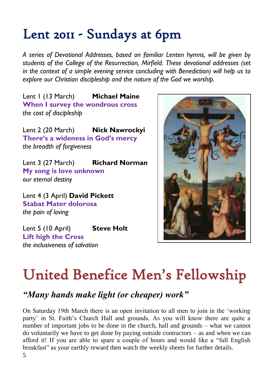# Lent 2011 - Sundays at 6pm

*A series of Devotional Addresses, based on familiar Lenten hymns, will be given by students of the College of the Resurrection, Mirfield. These devotional addresses (set in the context of a simple evening service concluding with Benediction) will help us to explore our Christian discipleship and the nature of the God we worship.*

Lent 1 (13 March) **Michael Maine When I survey the wondrous cross** *the cost of discipleship*

Lent 2 (20 March) **Nick Nawrockyi There's a wideness in God's mercy** *the breadth of forgiveness*

Lent 3 (27 March) **Richard Norman My song is love unknown** *our eternal destiny*

Lent 4 (3 April) **David Pickett Stabat Mater dolorosa** *the pain of loving*

Lent 5 (10 April) **Steve Holt Lift high the Cross** *the inclusiveness of salvation*



# United Benefice Men's Fellowship

### *"Many hands make light (or cheaper) work"*

On Saturday 19th March there is an open invitation to all men to join in the "working party" in St. Faith"s Church Hall and grounds. As you will know there are quite a number of important jobs to be done in the church, hall and grounds – what we cannot do voluntarily we have to get done by paying outside contractors – as and when we can afford it! If you are able to spare a couple of hours and would like a "full English breakfast" as your earthly reward then watch the weekly sheets for further details. 5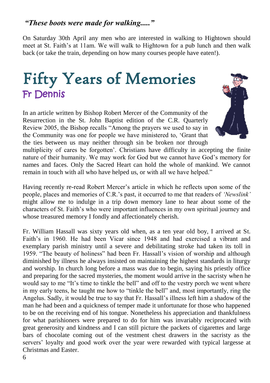On Saturday 30th April any men who are interested in walking to Hightown should meet at St. Faith"s at 11am. We will walk to Hightown for a pub lunch and then walk back (or take the train, depending on how many courses people have eaten!).

# Fifty Years of Memories Fr Dennis

In an article written by Bishop Robert Mercer of the Community of the Resurrection in the St. John Baptist edition of the C.R. Quarterly Review 2005, the Bishop recalls "Among the prayers we used to say in the Community was one for people we have ministered to, "Grant that the ties between us may neither through sin be broken nor through



multiplicity of cares be forgotten". Christians have difficulty in accepting the finite nature of their humanity. We may work for God but we cannot have God"s memory for names and faces. Only the Sacred Heart can hold the whole of mankind. We cannot remain in touch with all who have helped us, or with all we have helped."

Having recently re-read Robert Mercer"s article in which he reflects upon some of the people, places and memories of C.R."s past, it occurred to me that readers of *'Newslink'* might allow me to indulge in a trip down memory lane to hear about some of the characters of St. Faith"s who were important influences in my own spiritual journey and whose treasured memory I fondly and affectionately cherish.

Fr. William Hassall was sixty years old when, as a ten year old boy, I arrived at St. Faith"s in 1960. He had been Vicar since 1948 and had exercised a vibrant and exemplary parish ministry until a severe and debilitating stroke had taken its toll in 1959. "The beauty of holiness" had been Fr. Hassall"s vision of worship and although diminished by illness he always insisted on maintaining the highest standards in liturgy and worship. In church long before a mass was due to begin, saying his priestly office and preparing for the sacred mysteries, the moment would arrive in the sacristy when he would say to me "It's time to tinkle the bell" and off to the vestry porch we went where in my early teens, he taught me how to "tinkle the bell" and, most importantly, ring the Angelus. Sadly, it would be true to say that Fr. Hassall"s illness left him a shadow of the man he had been and a quickness of temper made it unfortunate for those who happened to be on the receiving end of his tongue. Nonetheless his appreciation and thankfulness for what parishioners were prepared to do for him was invariably reciprocated with great generosity and kindness and I can still picture the packets of cigarettes and large bars of chocolate coming out of the vestment chest drawers in the sacristy as the servers" loyalty and good work over the year were rewarded with typical largesse at Christmas and Easter.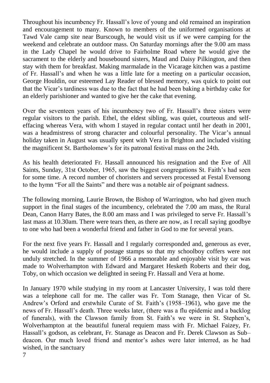Throughout his incumbency Fr. Hassall"s love of young and old remained an inspiration and encouragement to many. Known to members of the uniformed organisations at Tawd Vale camp site near Burscough, he would visit us if we were camping for the weekend and celebrate an outdoor mass. On Saturday mornings after the 9.00 am mass in the Lady Chapel he would drive to Fairholme Road where he would give the sacrament to the elderly and housebound sisters, Maud and Daisy Pilkington, and then stay with them for breakfast. Making marmalade in the Vicarage kitchen was a pastime of Fr. Hassall"s and when he was a little late for a meeting on a particular occasion, George Houldin, our esteemed Lay Reader of blessed memory, was quick to point out that the Vicar"s tardiness was due to the fact that he had been baking a birthday cake for an elderly parishioner and wanted to give her the cake that evening.

Over the seventeen years of his incumbency two of Fr. Hassall"s three sisters were regular visitors to the parish. Ethel, the eldest sibling, was quiet, courteous and selfeffacing whereas Vera, with whom I stayed in regular contact until her death in 2001, was a headmistress of strong character and colourful personality. The Vicar"s annual holiday taken in August was usually spent with Vera in Brighton and included visiting the magnificent St. Bartholomew"s for its patronal festival mass on the 24th.

As his health deteriorated Fr. Hassall announced his resignation and the Eve of All Saints, Sunday, 31st October, 1965, saw the biggest congregations St. Faith's had seen for some time. A record number of choristers and servers processed at Festal Evensong to the hymn "For all the Saints" and there was a notable air of poignant sadness.

The following morning, Laurie Brown, the Bishop of Warrington, who had given much support in the final stages of the incumbency, celebrated the 7.00 am mass, the Rural Dean, Canon Harry Bates, the 8.00 am mass and I was privileged to serve Fr. Hassall"s last mass at 10.30am. There were tears then, as there are now, as I recall saying goodbye to one who had been a wonderful friend and father in God to me for several years.

For the next five years Fr. Hassall and I regularly corresponded and, generous as ever, he would include a supply of postage stamps so that my schoolboy coffers were not unduly stretched. In the summer of 1966 a memorable and enjoyable visit by car was made to Wolverhampton with Edward and Margaret Hesketh Roberts and their dog, Toby, on which occasion we delighted in seeing Fr. Hassall and Vera at home.

In January 1970 while studying in my room at Lancaster University, I was told there was a telephone call for me. The caller was Fr. Tom Stanage, then Vicar of St. Andrew"s Orford and erstwhile Curate of St. Faith"s (1958–1961), who gave me the news of Fr. Hassall"s death. Three weeks later, (there was a flu epidemic and a backlog of funerals), with the Clawson family from St. Faith"s we were in St. Stephen"s, Wolverhampton at the beautiful funeral requiem mass with Fr. Michael Faizey, Fr. Hassall"s godson, as celebrant, Fr. Stanage as Deacon and Fr. Derek Clawson as Sub– deacon. Our much loved friend and mentor"s ashes were later interred, as he had wished, in the sanctuary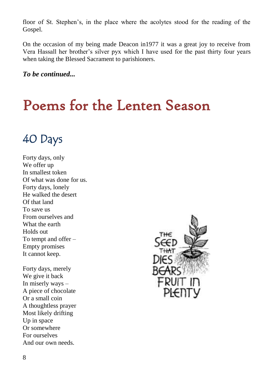floor of St. Stephen"s, in the place where the acolytes stood for the reading of the Gospel.

On the occasion of my being made Deacon in1977 it was a great joy to receive from Vera Hassall her brother"s silver pyx which I have used for the past thirty four years when taking the Blessed Sacrament to parishioners.

*To be continued...*

# Poems for the Lenten Season

# 40 Days

Forty days, only We offer up In smallest token Of what was done for us. Forty days, lonely He walked the desert Of that land To save us From ourselves and What the earth Holds out To tempt and offer – Empty promises It cannot keep.

Forty days, merely We give it back In miserly ways – A piece of chocolate Or a small coin A thoughtless prayer Most likely drifting Up in space Or somewhere For ourselves And our own needs.

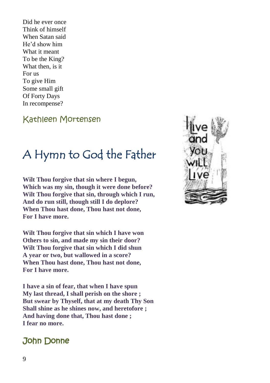Did he ever once Think of himself When Satan said He"d show him What it meant To be the King? What then, is it For us To give Him Some small gift Of Forty Days In recompense?

### Kathleen Mortensen

# A Hymn to God the Father

**Wilt Thou forgive that sin where I begun, Which was my sin, though it were done before? Wilt Thou forgive that sin, through which I run, And do run still, though still I do deplore? When Thou hast done, Thou hast not done, For I have more.**

**Wilt Thou forgive that sin which I have won Others to sin, and made my sin their door? Wilt Thou forgive that sin which I did shun A year or two, but wallowed in a score? When Thou hast done, Thou hast not done, For I have more.**

**I have a sin of fear, that when I have spun My last thread, I shall perish on the shore ; But swear by Thyself, that at my death Thy Son Shall shine as he shines now, and heretofore ; And having done that, Thou hast done ; I fear no more.**

### John Donne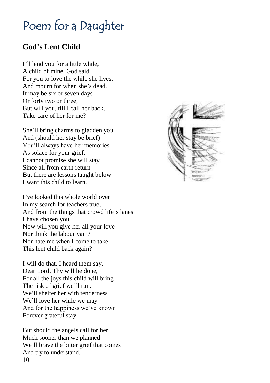# Poem for a Daughter

### **God's Lent Child**

I"ll lend you for a little while, A child of mine, God said For you to love the while she lives, And mourn for when she"s dead. It may be six or seven days Or forty two or three, But will you, till I call her back, Take care of her for me?

She"ll bring charms to gladden you And (should her stay be brief) You"ll always have her memories As solace for your grief. I cannot promise she will stay Since all from earth return But there are lessons taught below I want this child to learn.

I"ve looked this whole world over In my search for teachers true, And from the things that crowd life's lanes I have chosen you. Now will you give her all your love Nor think the labour vain? Nor hate me when I come to take This lent child back again?

I will do that, I heard them say, Dear Lord, Thy will be done, For all the joys this child will bring The risk of grief we'll run. We"ll shelter her with tenderness We'll love her while we may And for the happiness we"ve known Forever grateful stay.

But should the angels call for her Much sooner than we planned We"ll brave the bitter grief that comes And try to understand. 10

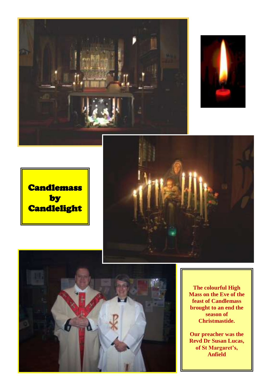



**Candlemass** by Candlelight





**The colourful High Mass on the Eve of the feast of Candlemass brought to an end the season of Christmastide.**

**Our preacher was the Revd Dr Susan Lucas, of St Margaret's, Anfield**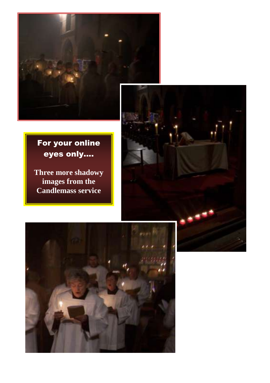

### For your online eyes only....

 $\overline{\phantom{a}}$ 

 $\overline{\phantom{a}}$ 

**Three more shadowy images from the Candlemass service**



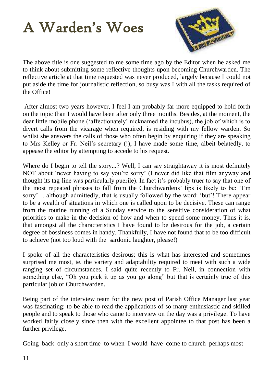# A Warden's Woes



The above title is one suggested to me some time ago by the Editor when he asked me to think about submitting some reflective thoughts upon becoming Churchwarden. The reflective article at that time requested was never produced, largely because I could not put aside the time for journalistic reflection, so busy was I with all the tasks required of the Office!

After almost two years however, I feel I am probably far more equipped to hold forth on the topic than I would have been after only three months. Besides, at the moment, the dear little mobile phone ("affectionately" nicknamed the incubus), the job of which is to divert calls from the vicarage when required, is residing with my fellow warden. So whilst she answers the calls of those who often begin by enquiring if they are speaking to Mrs Kelley or Fr. Neil"s secretary (!), I have made some time, albeit belatedly, to appease the editor by attempting to accede to his request.

Where do I begin to tell the story...? Well, I can say straightaway it is most definitely NOT about "never having to say you"re sorry" (I never did like that film anyway and thought its tag-line was particularly puerile). In fact it"s probably truer to say that one of the most repeated phrases to fall from the Churchwardens" lips is likely to be: "I"m sorry"… although admittedly, that is usually followed by the word: "but"! There appear to be a wealth of situations in which one is called upon to be decisive. These can range from the routine running of a Sunday service to the sensitive consideration of what priorities to make in the decision of how and when to spend some money. Thus it is, that amongst all the characteristics I have found to be desirous for the job, a certain degree of bossiness comes in handy. Thankfully, I have not found that to be too difficult to achieve (not too loud with the sardonic laughter, please!)

I spoke of all the characteristics desirous; this is what has interested and sometimes surprised me most, ie. the variety and adaptability required to meet with such a wide ranging set of circumstances. I said quite recently to Fr. Neil, in connection with something else, "Oh you pick it up as you go along" but that is certainly true of this particular job of Churchwarden.

Being part of the interview team for the new post of Parish Office Manager last year was fascinating: to be able to read the applications of so many enthusiastic and skilled people and to speak to those who came to interview on the day was a privilege. To have worked fairly closely since then with the excellent appointee to that post has been a further privilege.

Going back only a short time to when I would have come to church perhaps most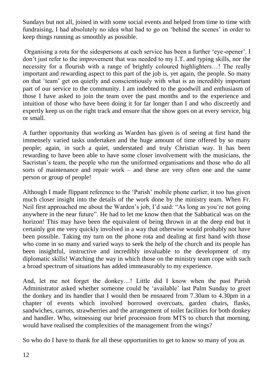Sundays but not all, joined in with some social events and helped from time to time with fundraising, I had absolutely no idea what had to go on "behind the scenes" in order to keep things running as smoothly as possible.

Organising a rota for the sidespersons at each service has been a further "eye-opener". I don"t just refer to the improvement that was needed to my I.T. and typing skills, nor the necessity for a flourish with a range of brightly coloured highlighters…! The really important and rewarding aspect to this part of the job is, yet again, the people. So many on that "team" get on quietly and conscientiously with what is an incredibly important part of our service to the community. I am indebted to the goodwill and enthusiasm of those I have asked to join the team over the past months and to the experience and intuition of those who have been doing it for far longer than I and who discreetly and expertly keep us on the right track and ensure that the show goes on at every service, big or small.

A further opportunity that working as Warden has given is of seeing at first hand the immensely varied tasks undertaken and the huge amount of time offered by so many people; again, in such a quiet, understated and truly Christian way. It has been rewarding to have been able to have some closer involvement with the musicians, the Sacristan"s team, the people who run the uniformed organisations and those who do all sorts of maintenance and repair work – and these are very often one and the same person or group of people!

Although I made flippant reference to the "Parish" mobile phone earlier, it too has given much closer insight into the details of the work done by the ministry team. When Fr. Neil first approached me about the Warden"s job, I"d said: "As long as you"re not going anywhere in the near future". He had to let me know then that the Sabbatical was on the horizon! This may have been the equivalent of being thrown in at the deep end but it certainly got me very quickly involved in a way that otherwise would probably not have been possible. Taking my turn on the phone rota and dealing at first hand with those who come in so many and varied ways to seek the help of the church and its people has been insightful, instructive and incredibly invaluable to the development of my diplomatic skills! Watching the way in which those on the ministry team cope with such a broad spectrum of situations has added immeasurably to my experience.

And, let me not forget the donkey…! Little did I know when the past Parish Administrator asked whether someone could be "available" last Palm Sunday to greet the donkey and its handler that I would then be ensnared from 7.30am to 4.30pm in a chapter of events which involved borrowed overcoats, garden chairs, flasks, sandwiches, carrots, strawberries and the arrangement of toilet facilities for both donkey and handler. Who, witnessing our brief procession from MTS to church that morning, would have realised the complexities of the management from the wings?

So who do I have to thank for all these opportunities to get to know so many of you as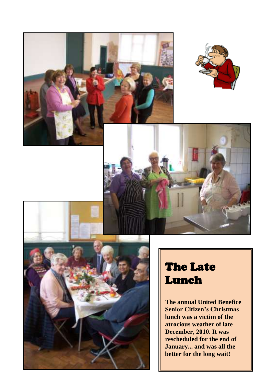



# The Late Lunch

**The annual United Benefice Senior Citizen's Christmas lunch was a victim of the atrocious weather of late December, 2010. It was rescheduled for the end of January... and was all the better for the long wait!**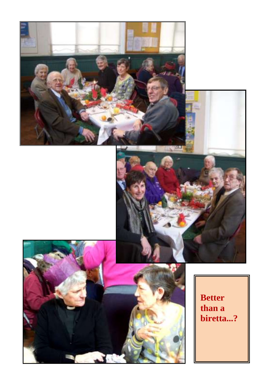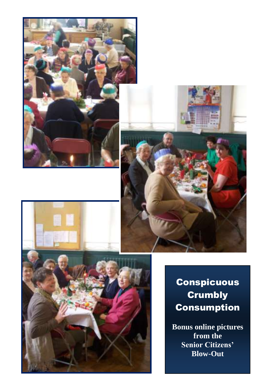





## Conspicuous **Crumbly Consumption**

**Bonus online pictures from the Senior Citizens' Blow-Out**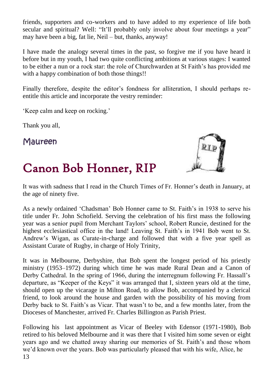friends, supporters and co-workers and to have added to my experience of life both secular and spiritual? Well: "It"ll probably only involve about four meetings a year" may have been a big, fat lie, Neil – but, thanks, anyway!

I have made the analogy several times in the past, so forgive me if you have heard it before but in my youth, I had two quite conflicting ambitions at various stages: I wanted to be either a nun or a rock star: the role of Churchwarden at St Faith"s has provided me with a happy combination of both those things!!

Finally therefore, despite the editor's fondness for alliteration, I should perhaps reentitle this article and incorporate the vestry reminder:

Keep calm and keep on rocking.'

Thank you all,

Maureen

# Canon Bob Honner, RIP



It was with sadness that I read in the Church Times of Fr. Honner"s death in January, at the age of ninety five.

As a newly ordained "Chadsman" Bob Honner came to St. Faith"s in 1938 to serve his title under Fr. John Schofield. Serving the celebration of his first mass the following year was a senior pupil from Merchant Taylors" school, Robert Runcie, destined for the highest ecclesiastical office in the land! Leaving St. Faith"s in 1941 Bob went to St. Andrew"s Wigan, as Curate-in-charge and followed that with a five year spell as Assistant Curate of Rugby, in charge of Holy Trinity,

It was in Melbourne, Derbyshire, that Bob spent the longest period of his priestly ministry (1953–1972) during which time he was made Rural Dean and a Canon of Derby Cathedral. In the spring of 1966, during the interregnum following Fr. Hassall"s departure, as "Keeper of the Keys" it was arranged that I, sixteen years old at the time, should open up the vicarage in Milton Road, to allow Bob, accompanied by a clerical friend, to look around the house and garden with the possibility of his moving from Derby back to St. Faith's as Vicar. That wasn't to be, and a few months later, from the Dioceses of Manchester, arrived Fr. Charles Billington as Parish Priest.

Following his last appointment as Vicar of Beeley with Edensor (1971-1980), Bob retired to his beloved Melbourne and it was there that I visited him some seven or eight years ago and we chatted away sharing our memories of St. Faith"s and those whom we"d known over the years. Bob was particularly pleased that with his wife, Alice, he 13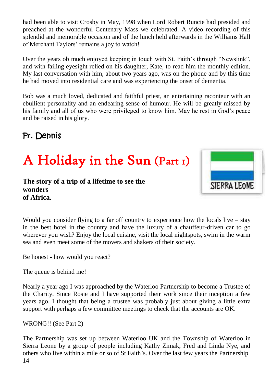had been able to visit Crosby in May, 1998 when Lord Robert Runcie had presided and preached at the wonderful Centenary Mass we celebrated. A video recording of this splendid and memorable occasion and of the lunch held afterwards in the Williams Hall of Merchant Taylors' remains a joy to watch!

Over the years ob much enjoyed keeping in touch with St. Faith"s through "Newslink", and with failing eyesight relied on his daughter, Kate, to read him the monthly edition. My last conversation with him, about two years ago, was on the phone and by this time he had moved into residential care and was experiencing the onset of dementia.

Bob was a much loved, dedicated and faithful priest, an entertaining raconteur with an ebullient personality and an endearing sense of humour. He will be greatly missed by his family and all of us who were privileged to know him. May he rest in God's peace and be raised in his glory.

### Fr. Dennis

# A Holiday in the Sun (Part 1)

**The story of a trip of a lifetime to see the wonders of Africa.**



Would you consider flying to a far off country to experience how the locals live – stay in the best hotel in the country and have the luxury of a chauffeur-driven car to go wherever you wish? Enjoy the local cuisine, visit the local nightspots, swim in the warm sea and even meet some of the movers and shakers of their society.

Be honest - how would you react?

The queue is behind me!

Nearly a year ago I was approached by the Waterloo Partnership to become a Trustee of the Charity. Since Rosie and I have supported their work since their inception a few years ago, I thought that being a trustee was probably just about giving a little extra support with perhaps a few committee meetings to check that the accounts are OK.

WRONG!! (See Part 2)

The Partnership was set up between Waterloo UK and the Township of Waterloo in Sierra Leone by a group of people including Kathy Zimak, Fred and Linda Nye, and others who live within a mile or so of St Faith"s. Over the last few years the Partnership 14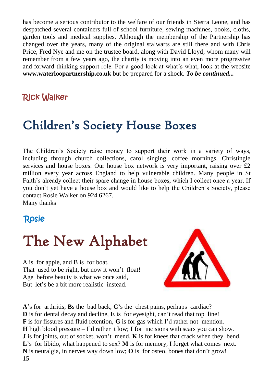has become a serious contributor to the welfare of our friends in Sierra Leone, and has despatched several containers full of school furniture, sewing machines, books, cloths, garden tools and medical supplies. Although the membership of the Partnership has changed over the years, many of the original stalwarts are still there and with Chris Price, Fred Nye and me on the trustee board, along with David Lloyd, whom many will remember from a few years ago, the charity is moving into an even more progressive and forward-thinking support role. For a good look at what"s what, look at the website **[www.waterloopartnership.co.uk](http://www.waterloopartnership.co.uk/)** but be prepared for a shock. *To be continued...*

### Rick Walker

# Children's Society House Boxes

The Children"s Society raise money to support their work in a variety of ways, including through church collections, carol singing, coffee mornings, Christingle services and house boxes. Our house box network is very important, raising over  $\mathcal{L}2$ million every year across England to help vulnerable children. Many people in St Faith's already collect their spare change in house boxes, which I collect once a year. If you don`t yet have a house box and would like to help the Children"s Society, please contact Rosie Walker on 924 6267.

Many thanks

### Rosie

# The New Alphabet

A is for apple, and B is for boat, That used to be right, but now it won't float! Age before beauty is what we once said, But let"s be a bit more realistic instead.



**A**"s for arthritis; **B**s the bad back, **C'**s the chest pains, perhaps cardiac? **D** is for dental decay and decline, **E** is for eyesight, can't read that top line! **F** is for fissures and fluid retention, **G** is for gas which I"d rather not mention. **H** high blood pressure  $-$  I'd rather it low; I for incisions with scars you can show. **J** is for joints, out of socket, won't mend, **K** is for knees that crack when they bend. L's for libido, what happened to sex? **M** is for memory, I forget what comes next. **N** is neuralgia, in nerves way down low; **O** is for osteo, bones that don"t grow! 15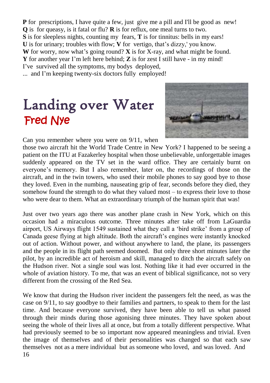**P** for prescriptions, I have quite a few, just give me a pill and I'll be good as new! **Q** is for queasy, is it fatal or flu? **R** is for reflux, one meal turns to two. **S** is for sleepless nights, counting my fears, **T** is for tinnitus: bells in my ears! **U** is for urinary; troubles with flow; **V** for vertigo, that's dizzy,' you know. **W** for worry, now what's going round?  $\bf{X}$  is for X-ray, and what might be found. **Y** for another year I"m left here behind; **Z** is for zest I still have - in my mind! I"ve survived all the symptoms, my bodys deployed, ... and I"m keeping twenty-six doctors fully employed!

# Landing over Water Fred Nye



Can you remember where you were on 9/11, when

those two aircraft hit the World Trade Centre in New York? I happened to be seeing a patient on the ITU at Fazakerley hospital when those unbelievable, unforgettable images suddenly appeared on the TV set in the ward office. They are certainly burnt on everyone's memory. But I also remember, later on, the recordings of those on the aircraft, and in the twin towers, who used their mobile phones to say good bye to those they loved. Even in the numbing, nauseating grip of fear, seconds before they died, they somehow found the strength to do what they valued most – to express their love to those who were dear to them. What an extraordinary triumph of the human spirit that was!

Just over two years ago there was another plane crash in New York, which on this occasion had a miraculous outcome. Three minutes after take off from LaGuardia airport, US Airways flight 1549 sustained what they call a "bird strike" from a group of Canada geese flying at high altitude. Both the aircraft"s engines were instantly knocked out of action. Without power, and without anywhere to land, the plane, its passengers and the people in its flight path seemed doomed. But only three short minutes later the pilot, by an incredible act of heroism and skill, managed to ditch the aircraft safely on the Hudson river. Not a single soul was lost. Nothing like it had ever occurred in the whole of aviation history. To me, that was an event of biblical significance, not so very different from the crossing of the Red Sea.

We know that during the Hudson river incident the passengers felt the need, as was the case on 9/11, to say goodbye to their families and partners, to speak to them for the last time. And because everyone survived, they have been able to tell us what passed through their minds during those agonising three minutes. They have spoken about seeing the whole of their lives all at once, but from a totally different perspective. What had previously seemed to be so important now appeared meaningless and trivial. Even the image of themselves and of their personalities was changed so that each saw themselves not as a mere individual but as someone who loved, and was loved. And 16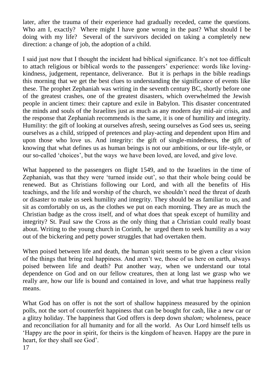later, after the trauma of their experience had gradually receded, came the questions. Who am I, exactly? Where might I have gone wrong in the past? What should I be doing with my life? Several of the survivors decided on taking a completely new direction: a change of job, the adoption of a child.

I said just now that I thought the incident had biblical significance. It"s not too difficult to attach religious or biblical words to the passengers" experience: words like lovingkindness, judgement, repentance, deliverance. But it is perhaps in the bible readings this morning that we get the best clues to understanding the significance of events like these. The prophet Zephaniah was writing in the seventh century BC, shortly before one of the greatest crashes, one of the greatest disasters, which overwhelmed the Jewish people in ancient times: their capture and exile in Babylon. This disaster concentrated the minds and souls of the Israelites just as much as any modern day mid-air crisis, and the response that Zephaniah recommends is the same, it is one of humility and integrity. Humility: the gift of looking at ourselves afresh, seeing ourselves as God sees us, seeing ourselves as a child, stripped of pretences and play-acting and dependent upon Him and upon those who love us. And integrity: the gift of single-mindedness, the gift of knowing that what defines us as human beings is not our ambitions, or our life-style, or our so-called "choices", but the ways we have been loved, are loved, and give love.

What happened to the passengers on flight 1549, and to the Israelites in the time of Zephaniah, was that they were 'turned inside out', so that their whole being could be renewed. But as Christians following our Lord, and with all the benefits of His teachings, and the life and worship of the church, we shouldn"t need the threat of death or disaster to make us seek humility and integrity. They should be as familiar to us, and sit as comfortably on us, as the clothes we put on each morning. They are as much the Christian badge as the cross itself, and of what does that speak except of humility and integrity? St. Paul saw the Cross as the only thing that a Christian could really boast about. Writing to the young church in Corinth, he urged them to seek humility as a way out of the bickering and petty power struggles that had overtaken them.

When poised between life and death, the human spirit seems to be given a clear vision of the things that bring real happiness. And aren"t we, those of us here on earth, always poised between life and death? Put another way, when we understand our total dependence on God and on our fellow creatures, then at long last we grasp who we really are, how our life is bound and contained in love, and what true happiness really means.

What God has on offer is not the sort of shallow happiness measured by the opinion polls, not the sort of counterfeit happiness that can be bought for cash, like a new car or a glitzy holiday. The happiness that God offers is deep down *shalom;* wholeness, peace and reconciliation for all humanity and for all the world. As Our Lord himself tells us "Happy are the poor in spirit, for theirs is the kingdom of heaven. Happy are the pure in heart, for they shall see God'.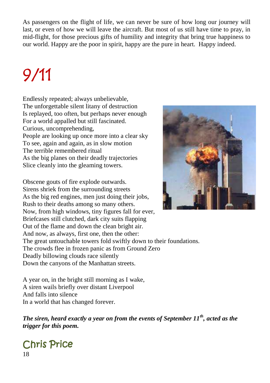As passengers on the flight of life, we can never be sure of how long our journey will last, or even of how we will leave the aircraft. But most of us still have time to pray, in mid-flight, for those precious gifts of humility and integrity that bring true happiness to our world. Happy are the poor in spirit, happy are the pure in heart. Happy indeed.

# 9/11

Endlessly repeated; always unbelievable, The unforgettable silent litany of destruction Is replayed, too often, but perhaps never enough For a world appalled but still fascinated. Curious, uncomprehending, People are looking up once more into a clear sky To see, again and again, as in slow motion The terrible remembered ritual As the big planes on their deadly trajectories Slice cleanly into the gleaming towers.

Obscene gouts of fire explode outwards. Sirens shriek from the surrounding streets As the big red engines, men just doing their jobs, Rush to their deaths among so many others. Now, from high windows, tiny figures fall for ever, Briefcases still clutched, dark city suits flapping Out of the flame and down the clean bright air. And now, as always, first one, then the other: The great untouchable towers fold swiftly down to their foundations. The crowds flee in frozen panic as from Ground Zero Deadly billowing clouds race silently Down the canyons of the Manhattan streets.

A year on, in the bright still morning as I wake, A siren wails briefly over distant Liverpool And falls into silence In a world that has changed forever.

*The siren, heard exactly a year on from the events of September 11th, acted as the trigger for this poem.* 



# Chris Price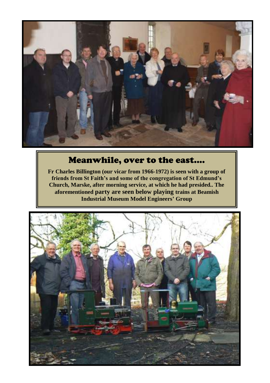

### Meanwhile, over to the east....

**Fr Charles Billington (our vicar from 1966-1972) is seen with a group of friends from St Faith's and some of the congregation of St Edmund's Church, Marske, after morning service, at which he had presided.. The aforementioned party are seen below playing trains at Beamish Industrial Museum Model Engineers' Group**

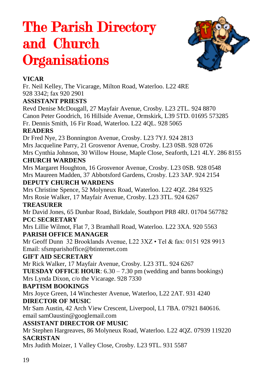# The Parish Directory and Church **Organisations**



### **VICAR**

Fr. Neil Kelley, The Vicarage, Milton Road, Waterloo. L22 4RE 928 3342; fax 920 2901

#### **ASSISTANT PRIESTS**

Revd Denise McDougall, 27 Mayfair Avenue, Crosby. L23 2TL. 924 8870 Canon Peter Goodrich, 16 Hillside Avenue, Ormskirk, L39 5TD. 01695 573285 Fr. Dennis Smith, 16 Fir Road, Waterloo. L22 4QL. 928 5065

#### **READERS**

Dr Fred Nye, 23 Bonnington Avenue, Crosby. L23 7YJ. 924 2813 Mrs Jacqueline Parry, 21 Grosvenor Avenue, Crosby. L23 0SB. 928 0726 Mrs Cynthia Johnson, 30 Willow House, Maple Close, Seaforth, L21 4LY. 286 8155 **CHURCH WARDENS**

Mrs Margaret Houghton, 16 Grosvenor Avenue, Crosby. L23 0SB. 928 0548 Mrs Maureen Madden, 37 Abbotsford Gardens, Crosby. L23 3AP. 924 2154

#### **DEPUTY CHURCH WARDENS**

Mrs Christine Spence, 52 Molyneux Road, Waterloo. L22 4QZ. 284 9325 Mrs Rosie Walker, 17 Mayfair Avenue, Crosby. L23 3TL. 924 6267

### **TREASURER**

Mr David Jones, 65 Dunbar Road, Birkdale, Southport PR8 4RJ. 01704 567782 **PCC SECRETARY**

Mrs Lillie Wilmot, Flat 7, 3 Bramhall Road, Waterloo. L22 3XA. 920 5563 **PARISH OFFICE MANAGER**

Mr Geoff Dunn 32 Brooklands Avenue, L22 3XZ • Tel & fax: 0151 928 9913 Email: sfsmparishoffice@btinternet.com

### **GIFT AID SECRETARY**

Mr Rick Walker, 17 Mayfair Avenue, Crosby. L23 3TL. 924 6267

**TUESDAY OFFICE HOUR:** 6.30 – 7.30 pm (wedding and banns bookings) Mrs Lynda Dixon, c/o the Vicarage. 928 7330

### **BAPTISM BOOKINGS**

Mrs Joyce Green, 14 Winchester Avenue, Waterloo, L22 2AT. 931 4240 **DIRECTOR OF MUSIC**

Mr Sam Austin, 42 Arch View Crescent, Liverpool, L1 7BA. 07921 840616. email samOaustin@googlemail.com

### **ASSISTANT DIRECTOR OF MUSIC**

Mr Stephen Hargreaves, 86 Molyneux Road, Waterloo. L22 4QZ. 07939 119220 **SACRISTAN**

Mrs Judith Moizer, 1 Valley Close, Crosby. L23 9TL. 931 5587